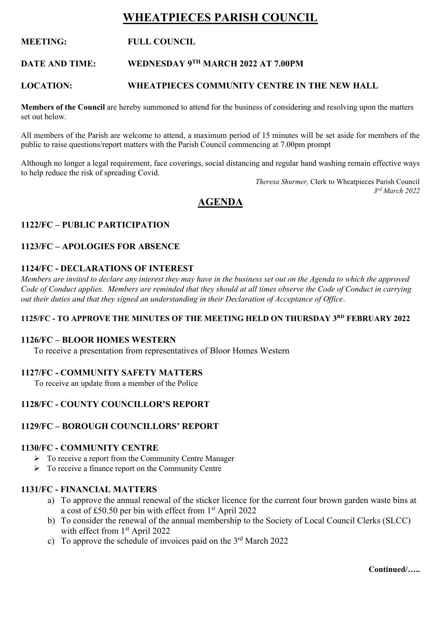# **WHEATPIECES PARISH COUNCIL**

# **MEETING: FULL COUNCIL**

# **DATE AND TIME: WEDNESDAY 9TH MARCH 2022 AT 7.00PM**

#### **LOCATION: WHEATPIECES COMMUNITY CENTRE IN THE NEW HALL**

**Members of the Council** are hereby summoned to attend for the business of considering and resolving upon the matters set out below.

All members of the Parish are welcome to attend, a maximum period of 15 minutes will be set aside for members of the public to raise questions/report matters with the Parish Council commencing at 7.00pm prompt

Although no longer a legal requirement, face coverings, social distancing and regular hand washing remain effective ways to help reduce the risk of spreading Covid.

> *Theresa Shurmer,* Clerk to Wheatpieces Parish Council *3 rd March 2022*

# **AGENDA**

#### **1122/FC – PUBLIC PARTICIPATION**

#### **1123/FC – APOLOGIES FOR ABSENCE**

#### **1124/FC - DECLARATIONS OF INTEREST**

*Members are invited to declare any interest they may have in the business set out on the Agenda to which the approved Code of Conduct applies. Members are reminded that they should at all times observe the Code of Conduct in carrying out their duties and that they signed an understanding in their Declaration of Acceptance of Office*.

#### **1125/FC - TO APPROVE THE MINUTES OF THE MEETING HELD ON THURSDAY 3 RD FEBRUARY 2022**

#### **1126/FC – BLOOR HOMES WESTERN**

To receive a presentation from representatives of Bloor Homes Western

#### **1127/FC - COMMUNITY SAFETY MATTERS**

To receive an update from a member of the Police

# **1128/FC - COUNTY COUNCILLOR'S REPORT**

#### **1129/FC – BOROUGH COUNCILLORS' REPORT**

#### **1130/FC - COMMUNITY CENTRE**

- $\triangleright$  To receive a report from the Community Centre Manager
- ➢ To receive a finance report on the Community Centre

#### **1131/FC - FINANCIAL MATTERS**

- a) To approve the annual renewal of the sticker licence for the current four brown garden waste bins at a cost of £50.50 per bin with effect from  $1<sup>st</sup>$  April 2022
- b) To consider the renewal of the annual membership to the Society of Local Council Clerks (SLCC) with effect from 1<sup>st</sup> April 2022
- c) To approve the schedule of invoices paid on the  $3<sup>rd</sup>$  March 2022